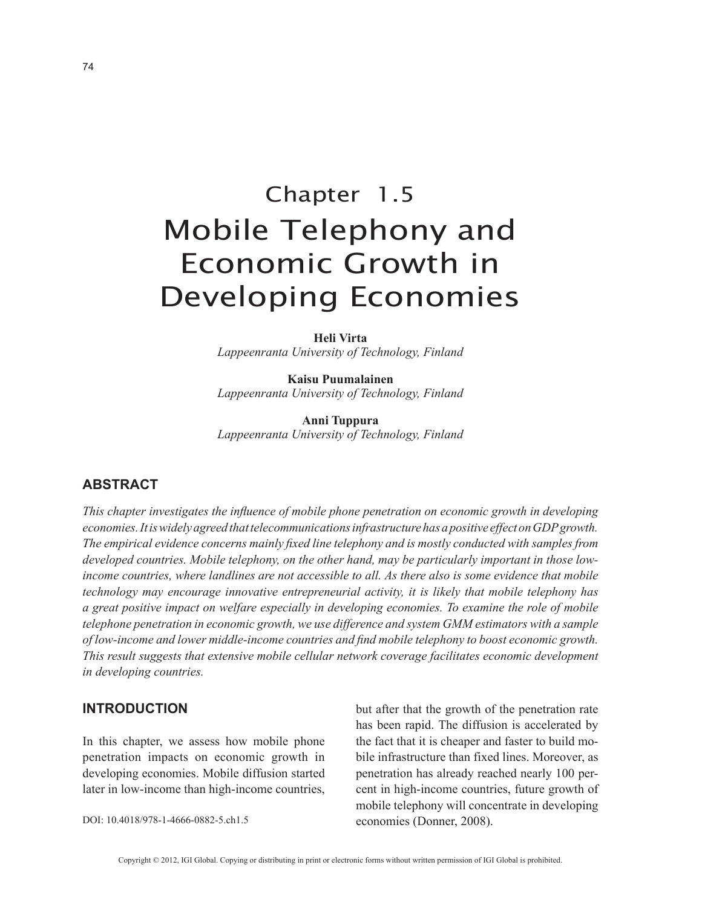# Chapter 1.5 Mobile Telephony and Economic Growth in Developing Economies

**Heli Virta** *Lappeenranta University of Technology, Finland*

**Kaisu Puumalainen** *Lappeenranta University of Technology, Finland*

**Anni Tuppura** *Lappeenranta University of Technology, Finland*

# **ABSTRACT**

*This chapter investigates the influence of mobile phone penetration on economic growth in developing economies. It is widely agreed that telecommunications infrastructure has a positive effect on GDP growth. The empirical evidence concerns mainly fixed line telephony and is mostly conducted with samples from developed countries. Mobile telephony, on the other hand, may be particularly important in those lowincome countries, where landlines are not accessible to all. As there also is some evidence that mobile technology may encourage innovative entrepreneurial activity, it is likely that mobile telephony has a great positive impact on welfare especially in developing economies. To examine the role of mobile telephone penetration in economic growth, we use difference and system GMM estimators with a sample of low-income and lower middle-income countries and find mobile telephony to boost economic growth. This result suggests that extensive mobile cellular network coverage facilitates economic development in developing countries.*

## **INTRODUCTION**

In this chapter, we assess how mobile phone penetration impacts on economic growth in developing economies. Mobile diffusion started later in low-income than high-income countries, but after that the growth of the penetration rate has been rapid. The diffusion is accelerated by the fact that it is cheaper and faster to build mobile infrastructure than fixed lines. Moreover, as penetration has already reached nearly 100 percent in high-income countries, future growth of mobile telephony will concentrate in developing economies (Donner, 2008).

DOI: 10.4018/978-1-4666-0882-5.ch1.5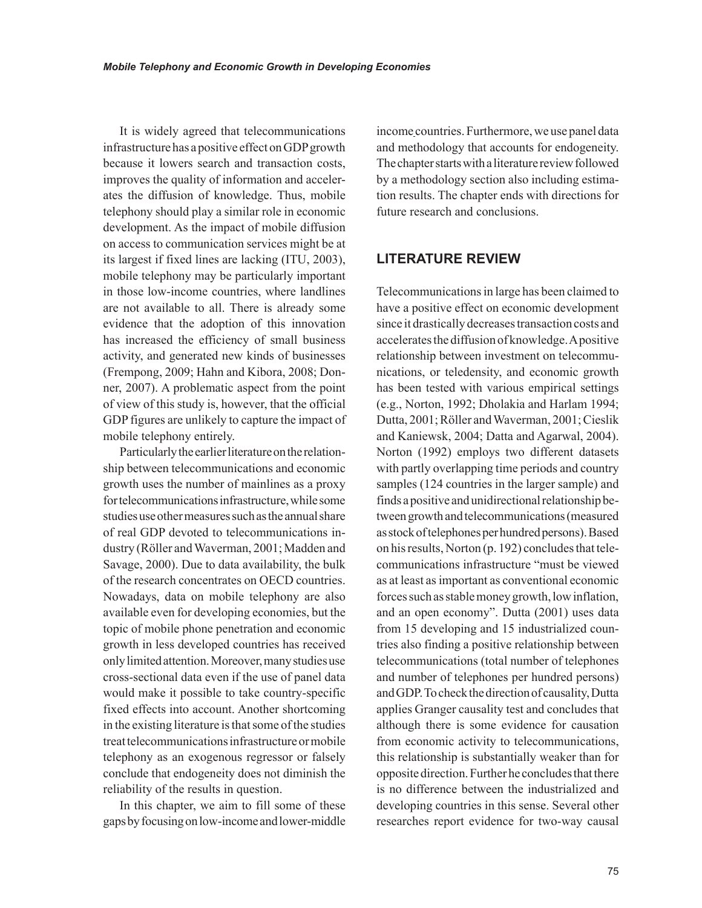It is widely agreed that telecommunications infrastructure has a positive effect on GDP growth because it lowers search and transaction costs, improves the quality of information and accelerates the diffusion of knowledge. Thus, mobile telephony should play a similar role in economic development. As the impact of mobile diffusion on access to communication services might be at its largest if fixed lines are lacking (ITU, 2003), mobile telephony may be particularly important in those low-income countries, where landlines are not available to all. There is already some evidence that the adoption of this innovation has increased the efficiency of small business activity, and generated new kinds of businesses (Frempong, 2009; Hahn and Kibora, 2008; Donner, 2007). A problematic aspect from the point of view of this study is, however, that the official GDP figures are unlikely to capture the impact of mobile telephony entirely.

Particularly the earlier literature on the relationship between telecommunications and economic growth uses the number of mainlines as a proxy for telecommunications infrastructure, while some studies use other measures such as the annual share of real GDP devoted to telecommunications industry (Röller and Waverman, 2001; Madden and Savage, 2000). Due to data availability, the bulk of the research concentrates on OECD countries. Nowadays, data on mobile telephony are also available even for developing economies, but the topic of mobile phone penetration and economic growth in less developed countries has received only limited attention. Moreover, many studies use cross-sectional data even if the use of panel data would make it possible to take country-specific fixed effects into account. Another shortcoming in the existing literature is that some of the studies treat telecommunications infrastructure or mobile telephony as an exogenous regressor or falsely conclude that endogeneity does not diminish the reliability of the results in question.

In this chapter, we aim to fill some of these gaps by focusing on low-income and lower-middle income countries. Furthermore, we use panel data and methodology that accounts for endogeneity. The chapter starts with a literature review followed by a methodology section also including estimation results. The chapter ends with directions for future research and conclusions.

# **LITERATURE REVIEW**

Telecommunications in large has been claimed to have a positive effect on economic development since it drastically decreases transaction costs and accelerates the diffusion of knowledge. A positive relationship between investment on telecommunications, or teledensity, and economic growth has been tested with various empirical settings (e.g., Norton, 1992; Dholakia and Harlam 1994; Dutta, 2001; Röller and Waverman, 2001; Cieslik and Kaniewsk, 2004; Datta and Agarwal, 2004). Norton (1992) employs two different datasets with partly overlapping time periods and country samples (124 countries in the larger sample) and finds a positive and unidirectional relationship between growth and telecommunications (measured as stock of telephones per hundred persons). Based on his results, Norton (p. 192) concludes that telecommunications infrastructure "must be viewed as at least as important as conventional economic forces such as stable money growth, low inflation, and an open economy". Dutta (2001) uses data from 15 developing and 15 industrialized countries also finding a positive relationship between telecommunications (total number of telephones and number of telephones per hundred persons) and GDP. To check the direction of causality, Dutta applies Granger causality test and concludes that although there is some evidence for causation from economic activity to telecommunications, this relationship is substantially weaker than for opposite direction. Further he concludes that there is no difference between the industrialized and developing countries in this sense. Several other researches report evidence for two-way causal